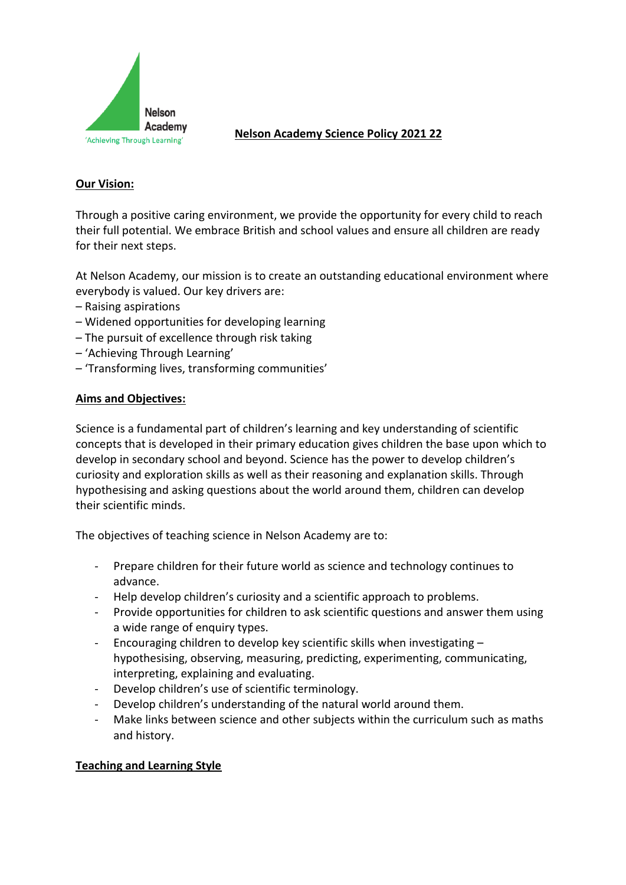

# **Nelson Academy Science Policy 2021 22**

# **Our Vision:**

Through a positive caring environment, we provide the opportunity for every child to reach their full potential. We embrace British and school values and ensure all children are ready for their next steps.

At Nelson Academy, our mission is to create an outstanding educational environment where everybody is valued. Our key drivers are:

- Raising aspirations
- Widened opportunities for developing learning
- The pursuit of excellence through risk taking
- 'Achieving Through Learning'
- 'Transforming lives, transforming communities'

## **Aims and Objectives:**

Science is a fundamental part of children's learning and key understanding of scientific concepts that is developed in their primary education gives children the base upon which to develop in secondary school and beyond. Science has the power to develop children's curiosity and exploration skills as well as their reasoning and explanation skills. Through hypothesising and asking questions about the world around them, children can develop their scientific minds.

The objectives of teaching science in Nelson Academy are to:

- Prepare children for their future world as science and technology continues to advance.
- Help develop children's curiosity and a scientific approach to problems.
- Provide opportunities for children to ask scientific questions and answer them using a wide range of enquiry types.
- Encouraging children to develop key scientific skills when investigating hypothesising, observing, measuring, predicting, experimenting, communicating, interpreting, explaining and evaluating.
- Develop children's use of scientific terminology.
- Develop children's understanding of the natural world around them.
- Make links between science and other subjects within the curriculum such as maths and history.

# **Teaching and Learning Style**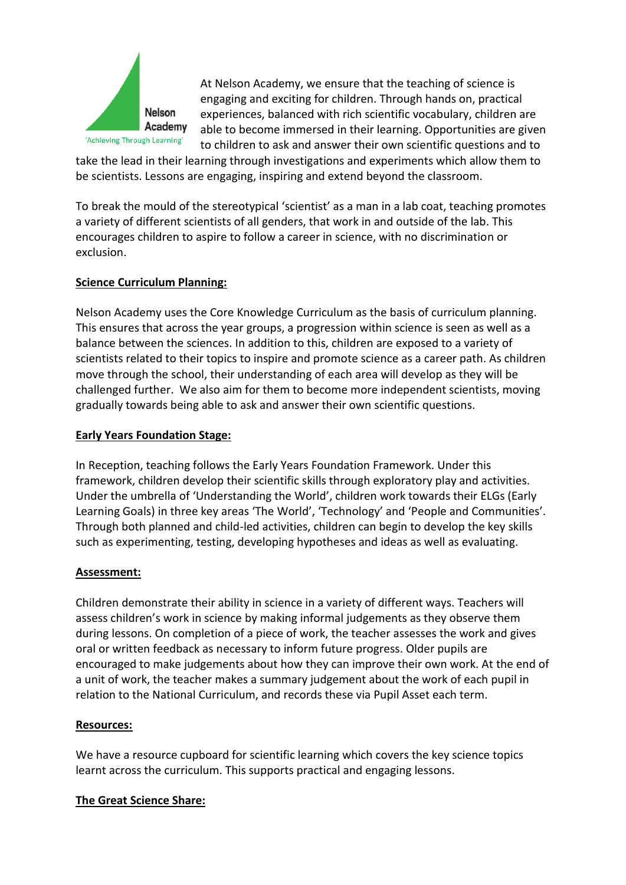

At Nelson Academy, we ensure that the teaching of science is engaging and exciting for children. Through hands on, practical experiences, balanced with rich scientific vocabulary, children are able to become immersed in their learning. Opportunities are given to children to ask and answer their own scientific questions and to

take the lead in their learning through investigations and experiments which allow them to be scientists. Lessons are engaging, inspiring and extend beyond the classroom.

To break the mould of the stereotypical 'scientist' as a man in a lab coat, teaching promotes a variety of different scientists of all genders, that work in and outside of the lab. This encourages children to aspire to follow a career in science, with no discrimination or exclusion.

# **Science Curriculum Planning:**

Nelson Academy uses the Core Knowledge Curriculum as the basis of curriculum planning. This ensures that across the year groups, a progression within science is seen as well as a balance between the sciences. In addition to this, children are exposed to a variety of scientists related to their topics to inspire and promote science as a career path. As children move through the school, their understanding of each area will develop as they will be challenged further. We also aim for them to become more independent scientists, moving gradually towards being able to ask and answer their own scientific questions.

# **Early Years Foundation Stage:**

In Reception, teaching follows the Early Years Foundation Framework. Under this framework, children develop their scientific skills through exploratory play and activities. Under the umbrella of 'Understanding the World', children work towards their ELGs (Early Learning Goals) in three key areas 'The World', 'Technology' and 'People and Communities'. Through both planned and child-led activities, children can begin to develop the key skills such as experimenting, testing, developing hypotheses and ideas as well as evaluating.

# **Assessment:**

Children demonstrate their ability in science in a variety of different ways. Teachers will assess children's work in science by making informal judgements as they observe them during lessons. On completion of a piece of work, the teacher assesses the work and gives oral or written feedback as necessary to inform future progress. Older pupils are encouraged to make judgements about how they can improve their own work. At the end of a unit of work, the teacher makes a summary judgement about the work of each pupil in relation to the National Curriculum, and records these via Pupil Asset each term.

## **Resources:**

We have a resource cupboard for scientific learning which covers the key science topics learnt across the curriculum. This supports practical and engaging lessons.

# **The Great Science Share:**